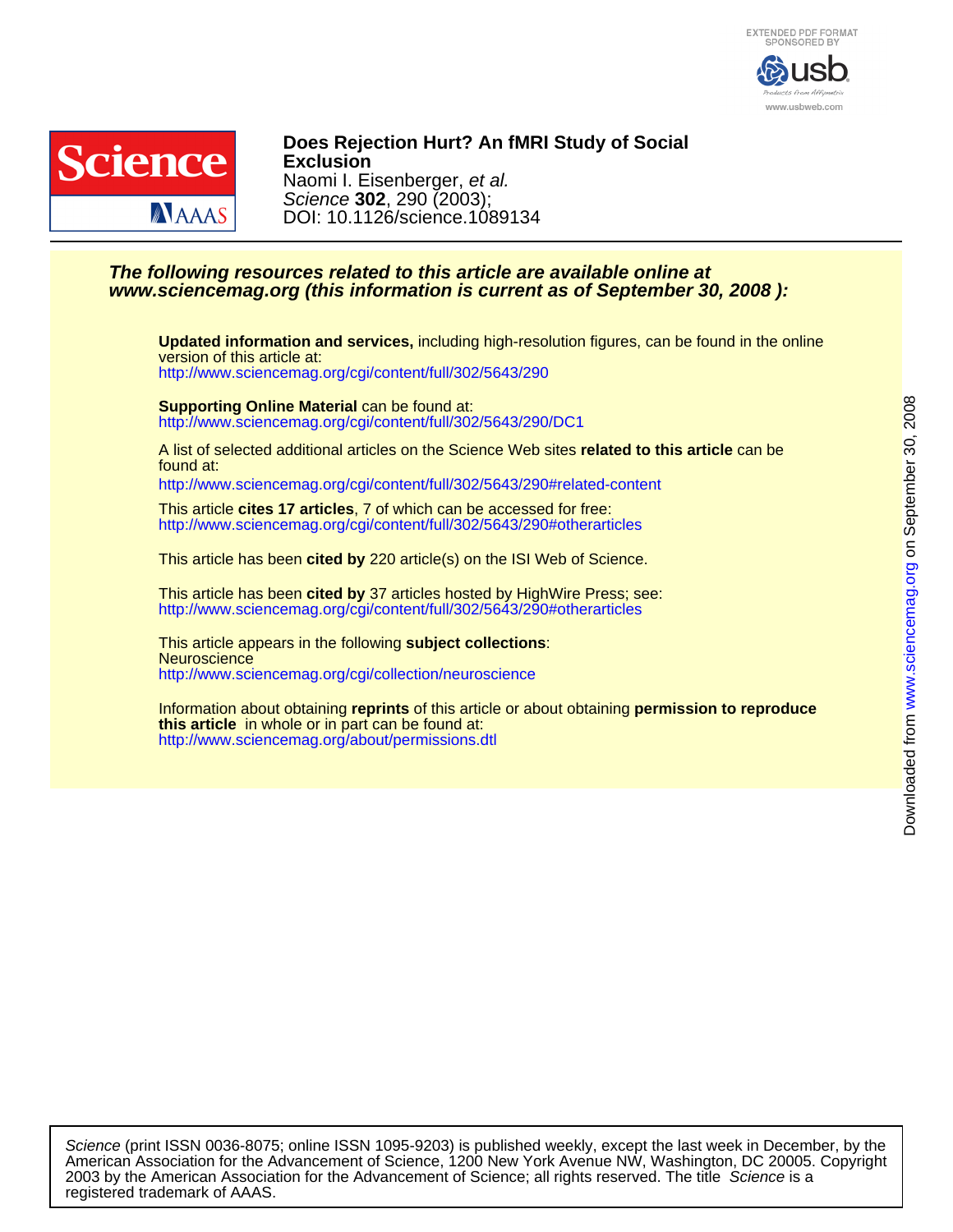



DOI: 10.1126/science.1089134 Science **302**, 290 (2003); Naomi I. Eisenberger, et al. **Exclusion Does Rejection Hurt? An fMRI Study of Social**

# **www.sciencemag.org (this information is current as of September 30, 2008 ): The following resources related to this article are available online at**

<http://www.sciencemag.org/cgi/content/full/302/5643/290> version of this article at: **Updated information and services,** including high-resolution figures, can be found in the online

<http://www.sciencemag.org/cgi/content/full/302/5643/290/DC1> **Supporting Online Material** can be found at:

found at: A list of selected additional articles on the Science Web sites **related to this article** can be

<http://www.sciencemag.org/cgi/content/full/302/5643/290#related-content>

<http://www.sciencemag.org/cgi/content/full/302/5643/290#otherarticles> This article **cites 17 articles**, 7 of which can be accessed for free:

This article has been **cited by** 220 article(s) on the ISI Web of Science.

<http://www.sciencemag.org/cgi/content/full/302/5643/290#otherarticles> This article has been **cited by** 37 articles hosted by HighWire Press; see:

<http://www.sciencemag.org/cgi/collection/neuroscience> **Neuroscience** This article appears in the following **subject collections**:

<http://www.sciencemag.org/about/permissions.dtl> **this article** in whole or in part can be found at: Information about obtaining **reprints** of this article or about obtaining **permission to reproduce**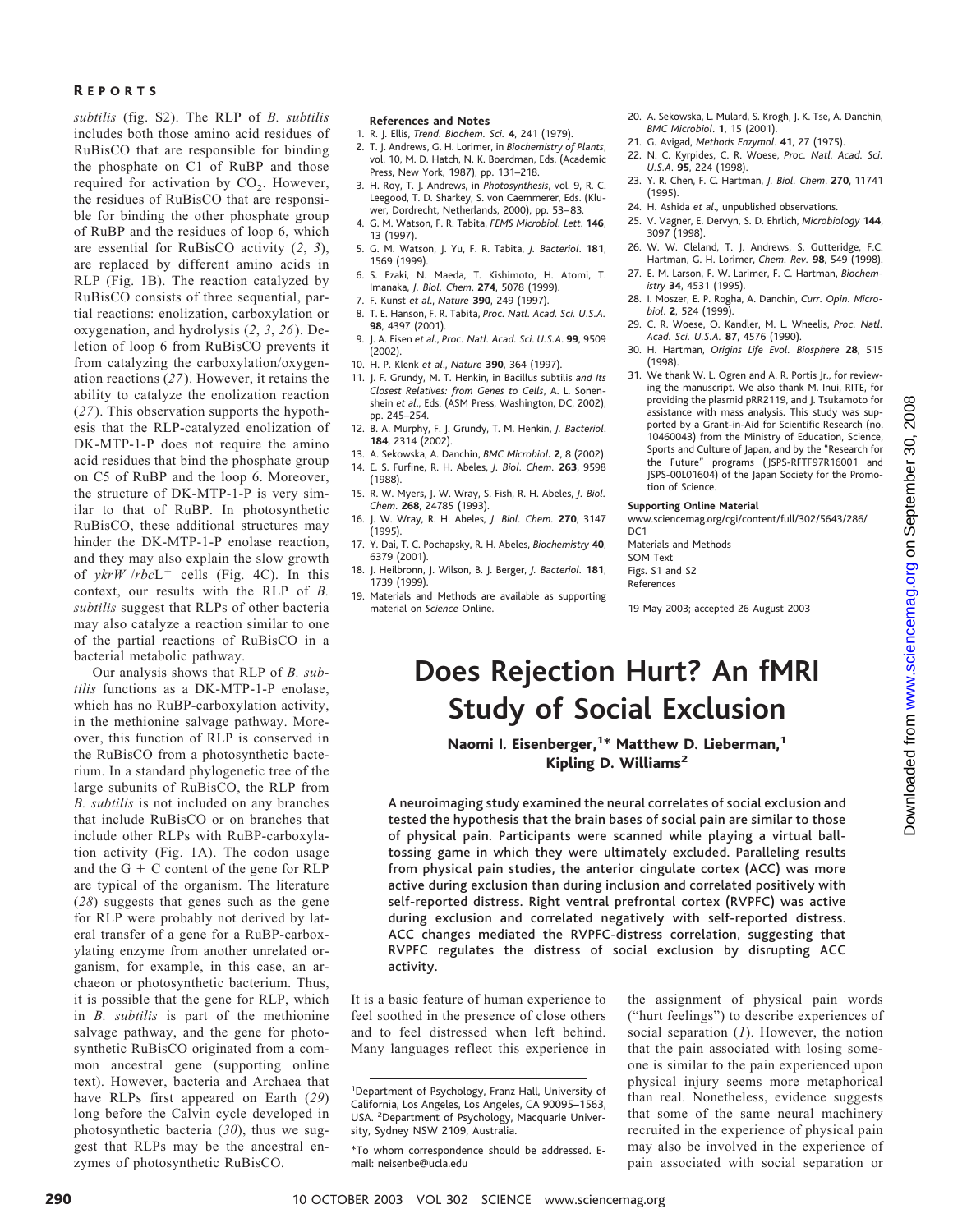# R EPORTS

*subtilis* (fig. S2). The RLP of *B. subtilis* includes both those amino acid residues of RuBisCO that are responsible for binding the phosphate on C1 of RuBP and those required for activation by  $CO<sub>2</sub>$ . However, the residues of RuBisCO that are responsible for binding the other phosphate group of RuBP and the residues of loop 6, which are essential for RuBisCO activity (*2*, *3*), are replaced by different amino acids in RLP (Fig. 1B). The reaction catalyzed by RuBisCO consists of three sequential, partial reactions: enolization, carboxylation or oxygenation, and hydrolysis (*2*, *3*, *26*). Deletion of loop 6 from RuBisCO prevents it from catalyzing the carboxylation/oxygenation reactions (*27*). However, it retains the ability to catalyze the enolization reaction (*27*). This observation supports the hypothesis that the RLP-catalyzed enolization of DK-MTP-1-P does not require the amino acid residues that bind the phosphate group on C5 of RuBP and the loop 6. Moreover, the structure of DK-MTP-1-P is very similar to that of RuBP. In photosynthetic RuBisCO, these additional structures may hinder the DK-MTP-1-P enolase reaction, and they may also explain the slow growth of  $ykrW^{-}/rbcL^{+}$  cells (Fig. 4C). In this context, our results with the RLP of *B. subtilis* suggest that RLPs of other bacteria may also catalyze a reaction similar to one of the partial reactions of RuBisCO in a bacterial metabolic pathway.

Our analysis shows that RLP of *B. subtilis* functions as a DK-MTP-1-P enolase, which has no RuBP-carboxylation activity, in the methionine salvage pathway. Moreover, this function of RLP is conserved in the RuBisCO from a photosynthetic bacterium. In a standard phylogenetic tree of the large subunits of RuBisCO, the RLP from *B. subtilis* is not included on any branches that include RuBisCO or on branches that include other RLPs with RuBP-carboxylation activity (Fig. 1A). The codon usage and the  $G + C$  content of the gene for RLP are typical of the organism. The literature (*28*) suggests that genes such as the gene for RLP were probably not derived by lateral transfer of a gene for a RuBP-carboxylating enzyme from another unrelated organism, for example, in this case, an archaeon or photosynthetic bacterium. Thus, it is possible that the gene for RLP, which in *B. subtilis* is part of the methionine salvage pathway, and the gene for photosynthetic RuBisCO originated from a common ancestral gene (supporting online text). However, bacteria and Archaea that have RLPs first appeared on Earth (*29*) long before the Calvin cycle developed in photosynthetic bacteria (*30*), thus we suggest that RLPs may be the ancestral enzymes of photosynthetic RuBisCO.

#### **References and Notes**

- 1. R. J. Ellis, *Trend. Biochem. Sci.* **4**, 241 (1979).
- 2. T. J. Andrews, G. H. Lorimer, in *Biochemistry of Plants*, vol. 10, M. D. Hatch, N. K. Boardman, Eds. (Academic Press, New York, 1987), pp. 131–218.
- 3. H. Roy, T. J. Andrews, in *Photosynthesis*, vol. 9, R. C. Leegood, T. D. Sharkey, S. von Caemmerer, Eds. (Kluwer, Dordrecht, Netherlands, 2000), pp. 53– 83.
- 4. G. M. Watson, F. R. Tabita, *FEMS Microbiol. Lett*. **146**, 13 (1997).
- 5. G. M. Watson, J. Yu, F. R. Tabita, *J. Bacteriol*. **181**, 1569 (1999).
- 6. S. Ezaki, N. Maeda, T. Kishimoto, H. Atomi, T. Imanaka, *J. Biol. Chem*. **274**, 5078 (1999). 7. F. Kunst *et al*., *Nature* **390**, 249 (1997).
- 8. T. E. Hanson, F. R. Tabita, *Proc. Natl. Acad. Sci. U.S.A.* **98**, 4397 (2001).
- 9. J. A. Eisen *et al*., *Proc. Natl. Acad. Sci*. *U.S.A*. **99**, 9509 (2002).
- 10. H. P. Klenk *et al*., *Nature* **390**, 364 (1997).
- 11. J. F. Grundy, M. T. Henkin, in Bacillus subtilis *and Its Closest Relatives: from Genes to Cells*, A. L. Sonenshein *et al*., Eds. (ASM Press, Washington, DC, 2002), pp. 245–254.
- 12. B. A. Murphy, F. J. Grundy, T. M. Henkin, *J. Bacteriol*. **184**, 2314 (2002).
- 13. A. Sekowska, A. Danchin, *BMC Microbiol***. 2**, 8 (2002). 14. E. S. Furfine, R. H. Abeles, *J. Biol. Chem.* **263**, 9598 (1988).
- 15. R. W. Myers, J. W. Wray, S. Fish, R. H. Abeles, *J. Biol. Chem*. **268**, 24785 (1993).
- 16. J. W. Wray, R. H. Abeles, *J. Biol. Chem.* **270**, 3147 (1995).
- 17. Y. Dai, T. C. Pochapsky, R. H. Abeles, *Biochemistry* **40**, 6379 (2001).
- 18. J. Heilbronn, J. Wilson, B. J. Berger, *J. Bacteriol.* **181**, 1739 (1999).
- 19. Materials and Methods are available as supporting material on *Science* Online.
- 20. A. Sekowska, L. Mulard, S. Krogh, J. K. Tse, A. Danchin, *BMC Microbiol*. **1**, 15 (2001).
- 21. G. Avigad, *Methods Enzymol*. **41**, 27 (1975).
- 22. N. C. Kyrpides, C. R. Woese, *Proc. Natl. Acad. Sci. U.S.A*. **95**, 224 (1998).
- 23. Y. R. Chen, F. C. Hartman, *J. Biol. Chem*. **270**, 11741 (1995).
- 24. H. Ashida *et al*., unpublished observations.
- 25. V. Vagner, E. Dervyn, S. D. Ehrlich, *Microbiology* **144**, 3097 (1998).
- 26. W. W. Cleland, T. J. Andrews, S. Gutteridge, F.C. Hartman, G. H. Lorimer, *Chem. Rev.* **98**, 549 (1998). 27. E. M. Larson, F. W. Larimer, F. C. Hartman, *Biochem-*
- *istry* **34**, 4531 (1995). 28. I. Moszer, E. P. Rogha, A. Danchin, *Curr. Opin. Micro-*
- *biol*. **2**, 524 (1999). 29. C. R. Woese, O. Kandler, M. L. Wheelis, *Proc. Natl.*
- *Acad. Sci. U.S.A.* **87**, 4576 (1990).
- 30. H. Hartman, *Origins Life Evol. Biosphere* **28**, 515 (1998).
- 31. We thank W. L. Ogren and A. R. Portis Jr., for reviewing the manuscript. We also thank M. Inui, RITE, for providing the plasmid pRR2119, and J. Tsukamoto for assistance with mass analysis. This study was supported by a Grant-in-Aid for Scientific Research (no. 10460043) from the Ministry of Education, Science, Sports and Culture of Japan, and by the "Research for the Future" programs ( JSPS-RFTF97R16001 and JSPS-00L01604) of the Japan Society for the Promotion of Science.

#### **Supporting Online Material**

www.sciencemag.org/cgi/content/full/302/5643/286/ DC<sub>1</sub>

Materials and Methods SOM Text Figs. S1 and S2 References

19 May 2003; accepted 26 August 2003

# **Does Rejection Hurt? An fMRI Study of Social Exclusion**

Naomi I. Eisenberger,<sup>1\*</sup> Matthew D. Lieberman,<sup>1</sup> Kipling D. Williams<sup>2</sup>

A neuroimaging study examined the neural correlates of social exclusion and tested the hypothesis that the brain bases of social pain are similar to those of physical pain. Participants were scanned while playing a virtual balltossing game in which they were ultimately excluded. Paralleling results from physical pain studies, the anterior cingulate cortex (ACC) was more active during exclusion than during inclusion and correlated positively with self-reported distress. Right ventral prefrontal cortex (RVPFC) was active during exclusion and correlated negatively with self-reported distress. ACC changes mediated the RVPFC-distress correlation, suggesting that RVPFC regulates the distress of social exclusion by disrupting ACC activity.

It is a basic feature of human experience to feel soothed in the presence of close others and to feel distressed when left behind. Many languages reflect this experience in the assignment of physical pain words ("hurt feelings") to describe experiences of social separation (*1*). However, the notion that the pain associated with losing someone is similar to the pain experienced upon physical injury seems more metaphorical than real. Nonetheless, evidence suggests that some of the same neural machinery recruited in the experience of physical pain may also be involved in the experience of pain associated with social separation or

<sup>1</sup> Department of Psychology, Franz Hall, University of California, Los Angeles, Los Angeles, CA 90095–1563, USA. <sup>2</sup> Department of Psychology, Macquarie University, Sydney NSW 2109, Australia.

<sup>\*</sup>To whom correspondence should be addressed. Email: neisenbe@ucla.edu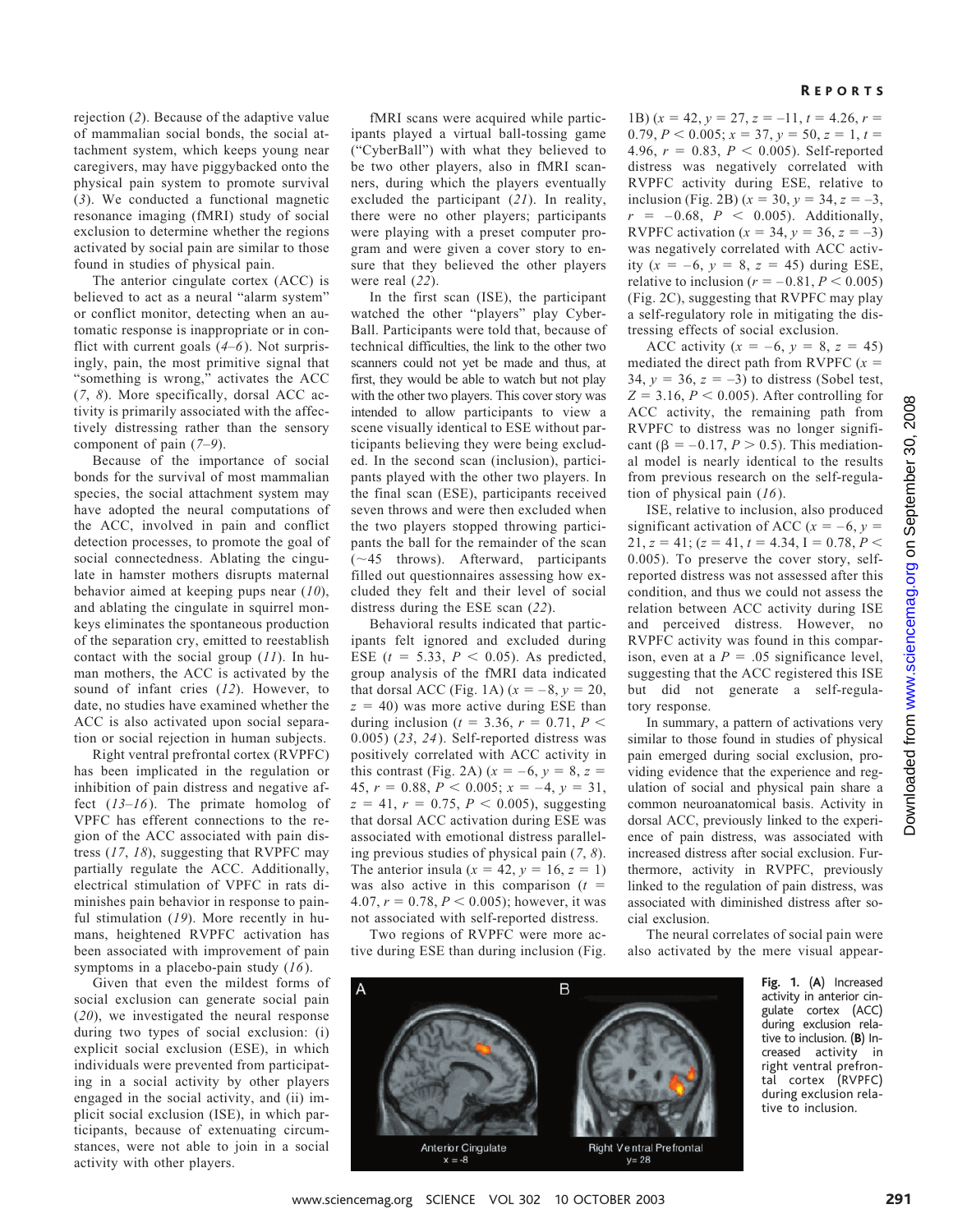### rejection (*2*). Because of the adaptive value of mammalian social bonds, the social attachment system, which keeps young near caregivers, may have piggybacked onto the physical pain system to promote survival (*3*). We conducted a functional magnetic resonance imaging (fMRI) study of social exclusion to determine whether the regions activated by social pain are similar to those found in studies of physical pain.

The anterior cingulate cortex (ACC) is believed to act as a neural "alarm system" or conflict monitor, detecting when an automatic response is inappropriate or in conflict with current goals (*4*–*6*). Not surprisingly, pain, the most primitive signal that "something is wrong," activates the ACC (*7*, *8*). More specifically, dorsal ACC activity is primarily associated with the affectively distressing rather than the sensory component of pain (*7*–*9*).

Because of the importance of social bonds for the survival of most mammalian species, the social attachment system may have adopted the neural computations of the ACC, involved in pain and conflict detection processes, to promote the goal of social connectedness. Ablating the cingulate in hamster mothers disrupts maternal behavior aimed at keeping pups near (*10*), and ablating the cingulate in squirrel monkeys eliminates the spontaneous production of the separation cry, emitted to reestablish contact with the social group (*11*). In human mothers, the ACC is activated by the sound of infant cries (*12*). However, to date, no studies have examined whether the ACC is also activated upon social separation or social rejection in human subjects.

Right ventral prefrontal cortex (RVPFC) has been implicated in the regulation or inhibition of pain distress and negative affect (*13*–*16*). The primate homolog of VPFC has efferent connections to the region of the ACC associated with pain distress (*17*, *18*), suggesting that RVPFC may partially regulate the ACC. Additionally, electrical stimulation of VPFC in rats diminishes pain behavior in response to painful stimulation (*19*). More recently in humans, heightened RVPFC activation has been associated with improvement of pain symptoms in a placebo-pain study (*16*).

Given that even the mildest forms of social exclusion can generate social pain (*20*), we investigated the neural response during two types of social exclusion: (i) explicit social exclusion (ESE), in which individuals were prevented from participating in a social activity by other players engaged in the social activity, and (ii) implicit social exclusion (ISE), in which participants, because of extenuating circumstances, were not able to join in a social activity with other players.

fMRI scans were acquired while participants played a virtual ball-tossing game ("CyberBall") with what they believed to be two other players, also in fMRI scanners, during which the players eventually excluded the participant (*21*). In reality, there were no other players; participants were playing with a preset computer program and were given a cover story to ensure that they believed the other players were real (*22*).

In the first scan (ISE), the participant watched the other "players" play Cyber-Ball. Participants were told that, because of technical difficulties, the link to the other two scanners could not yet be made and thus, at first, they would be able to watch but not play with the other two players. This cover story was intended to allow participants to view a scene visually identical to ESE without participants believing they were being excluded. In the second scan (inclusion), participants played with the other two players. In the final scan (ESE), participants received seven throws and were then excluded when the two players stopped throwing participants the ball for the remainder of the scan (-45 throws). Afterward, participants filled out questionnaires assessing how excluded they felt and their level of social distress during the ESE scan (*22*).

Behavioral results indicated that participants felt ignored and excluded during ESE  $(t = 5.33, P < 0.05)$ . As predicted, group analysis of the fMRI data indicated that dorsal ACC (Fig. 1A)  $(x = -8, y = 20,$  $z = 40$ ) was more active during ESE than during inclusion ( $t = 3.36$ ,  $r = 0.71$ ,  $P \le$ 0.005) (*23*, *24*). Self-reported distress was positively correlated with ACC activity in this contrast (Fig. 2A)  $(x = -6, y = 8, z =$ 45,  $r = 0.88$ ,  $P < 0.005$ ;  $x = -4$ ,  $y = 31$ ,  $z = 41$ ,  $r = 0.75$ ,  $P < 0.005$ ), suggesting that dorsal ACC activation during ESE was associated with emotional distress paralleling previous studies of physical pain (*7*, *8*). The anterior insula  $(x = 42, y = 16, z = 1)$ was also active in this comparison  $(t =$ 4.07,  $r = 0.78$ ,  $P < 0.005$ ); however, it was not associated with self-reported distress.

Two regions of RVPFC were more active during ESE than during inclusion (Fig.

# R EPORTS

1B)  $(x = 42, y = 27, z = -11, t = 4.26, r =$  $0.79, P < 0.005$ ;  $x = 37, y = 50, z = 1, t =$ 4.96,  $r = 0.83$ ,  $P < 0.005$ ). Self-reported distress was negatively correlated with RVPFC activity during ESE, relative to inclusion (Fig. 2B)  $(x = 30, y = 34, z = -3,$  $r = -0.68$ ,  $P < 0.005$ ). Additionally, RVPFC activation  $(x = 34, y = 36, z = -3)$ was negatively correlated with ACC activity  $(x = -6, y = 8, z = 45)$  during ESE, relative to inclusion ( $r = -0.81, P \le 0.005$ ) (Fig. 2C), suggesting that RVPFC may play a self-regulatory role in mitigating the distressing effects of social exclusion.

ACC activity  $(x = -6, y = 8, z = 45)$ mediated the direct path from RVPFC  $(x =$ 34,  $y = 36$ ,  $z = -3$ ) to distress (Sobel test,  $Z = 3.16$ ,  $P < 0.005$ ). After controlling for ACC activity, the remaining path from RVPFC to distress was no longer significant ( $\beta = -0.17, P > 0.5$ ). This mediational model is nearly identical to the results from previous research on the self-regulation of physical pain (*16*).

ISE, relative to inclusion, also produced significant activation of ACC ( $x = -6$ ,  $y =$  $21, z = 41$ ;  $(z = 41, t = 4.34, I = 0.78, P <$ 0.005). To preserve the cover story, selfreported distress was not assessed after this condition, and thus we could not assess the relation between ACC activity during ISE and perceived distress. However, no RVPFC activity was found in this comparison, even at a  $P = 0.05$  significance level, suggesting that the ACC registered this ISE but did not generate a self-regulatory response.

In summary, a pattern of activations very similar to those found in studies of physical pain emerged during social exclusion, providing evidence that the experience and regulation of social and physical pain share a common neuroanatomical basis. Activity in dorsal ACC, previously linked to the experience of pain distress, was associated with increased distress after social exclusion. Furthermore, activity in RVPFC, previously linked to the regulation of pain distress, was associated with diminished distress after social exclusion.

The neural correlates of social pain were also activated by the mere visual appear-



**Fig. 1.** (**A**) Increased activity in anterior cingulate cortex (ACC) during exclusion relative to inclusion. (**B**) Increased activity in right ventral prefrontal cortex (RVPFC) during exclusion relative to inclusion.